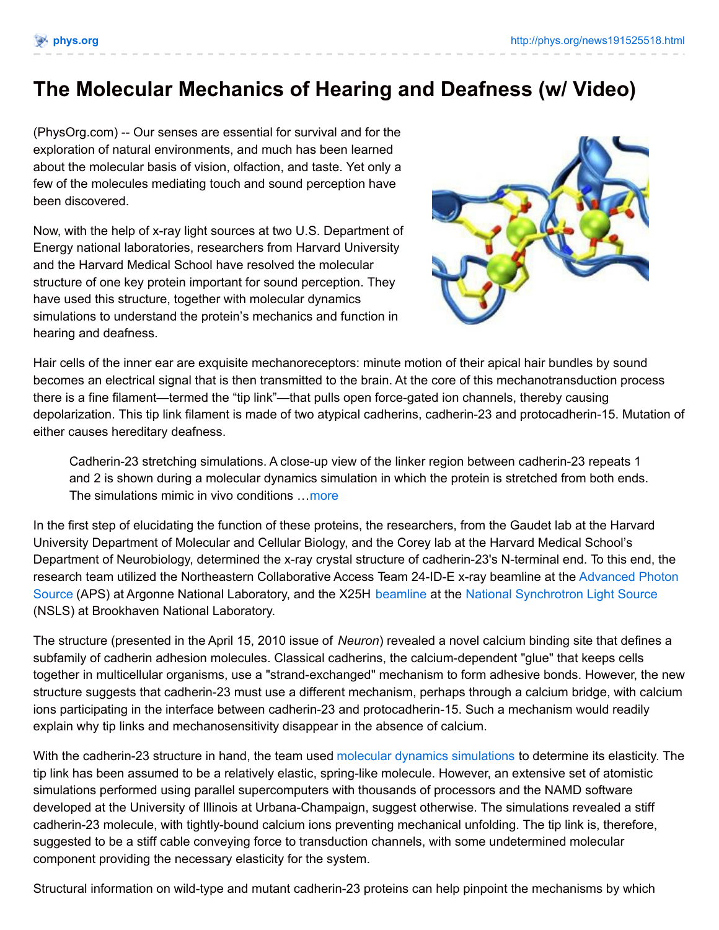## **The Molecular Mechanics of Hearing and Deafness (w/ Video)**

(PhysOrg.com) -- Our senses are essential for survival and for the exploration of natural environments, and much has been learned about the molecular basis of vision, olfaction, and taste. Yet only a few of the molecules mediating touch and sound perception have been discovered.

Now, with the help of x-ray light sources at two U.S. Department of Energy national laboratories, researchers from Harvard University and the Harvard Medical School have resolved the molecular structure of one key protein important for sound perception. They have used this structure, together with molecular dynamics simulations to understand the protein's mechanics and function in hearing and deafness.



Hair cells of the inner ear are exquisite mechanoreceptors: minute motion of their apical hair bundles by sound becomes an electrical signal that is then transmitted to the brain. At the core of this mechanotransduction process there is a fine filament—termed the "tip link"—that pulls open force-gated ion channels, thereby causing depolarization. This tip link filament is made of two atypical cadherins, cadherin-23 and protocadherin-15. Mutation of either causes hereditary deafness.

Cadherin-23 stretching simulations. A close-up view of the linker region between cadherin-23 repeats 1 and 2 is shown during a molecular dynamics simulation in which the protein is stretched from both ends. The simulations mimic in vivo conditions ... [more](http://phys.org/news191525518.html)

In the first step of elucidating the function of these proteins, the researchers, from the Gaudet lab at the Harvard University Department of Molecular and Cellular Biology, and the Corey lab at the Harvard Medical School's Department of Neurobiology, determined the x-ray crystal structure of cadherin-23's N-terminal end. To this end, the research team utilized the Northeastern [Collaborative](http://phys.org/tags/advanced+photon+source/) Access Team 24-ID-E x-ray beamline at the Advanced Photon Source (APS) at Argonne National Laboratory, and the X25H [beamline](http://phys.org/tags/beamline/) at the National [Synchrotron](http://phys.org/tags/national+synchrotron+light+source/) Light Source (NSLS) at Brookhaven National Laboratory.

The structure (presented in the April 15, 2010 issue of *Neuron*) revealed a novel calcium binding site that defines a subfamily of cadherin adhesion molecules. Classical cadherins, the calcium-dependent "glue" that keeps cells together in multicellular organisms, use a "strand-exchanged" mechanism to form adhesive bonds. However, the new structure suggests that cadherin-23 must use a different mechanism, perhaps through a calcium bridge, with calcium ions participating in the interface between cadherin-23 and protocadherin-15. Such a mechanism would readily explain why tip links and mechanosensitivity disappear in the absence of calcium.

With the cadherin-23 structure in hand, the team used molecular dynamics [simulations](http://phys.org/tags/molecular+dynamics+simulations/) to determine its elasticity. The tip link has been assumed to be a relatively elastic, spring-like molecule. However, an extensive set of atomistic simulations performed using parallel supercomputers with thousands of processors and the NAMD software developed at the University of Illinois at Urbana-Champaign, suggest otherwise. The simulations revealed a stiff cadherin-23 molecule, with tightly-bound calcium ions preventing mechanical unfolding. The tip link is, therefore, suggested to be a stiff cable conveying force to transduction channels, with some undetermined molecular component providing the necessary elasticity for the system.

Structural information on wild-type and mutant cadherin-23 proteins can help pinpoint the mechanisms by which